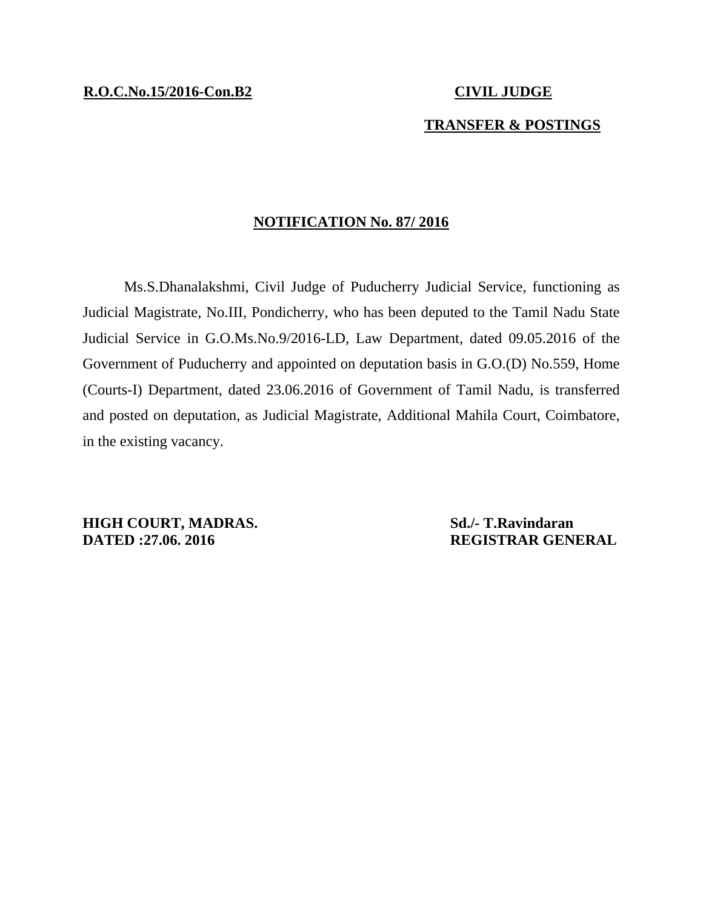## **TRANSFER & POSTINGS**

## **NOTIFICATION No. 87/ 2016**

Ms.S.Dhanalakshmi, Civil Judge of Puducherry Judicial Service, functioning as Judicial Magistrate, No.III, Pondicherry, who has been deputed to the Tamil Nadu State Judicial Service in G.O.Ms.No.9/2016-LD, Law Department, dated 09.05.2016 of the Government of Puducherry and appointed on deputation basis in G.O.(D) No.559, Home (Courts-I) Department, dated 23.06.2016 of Government of Tamil Nadu, is transferred and posted on deputation, as Judicial Magistrate, Additional Mahila Court, Coimbatore, in the existing vacancy.

**HIGH COURT, MADRAS.** Sd./- T.Ravindaran **DATED :27.06. 2016 REGISTRAR GENERAL**